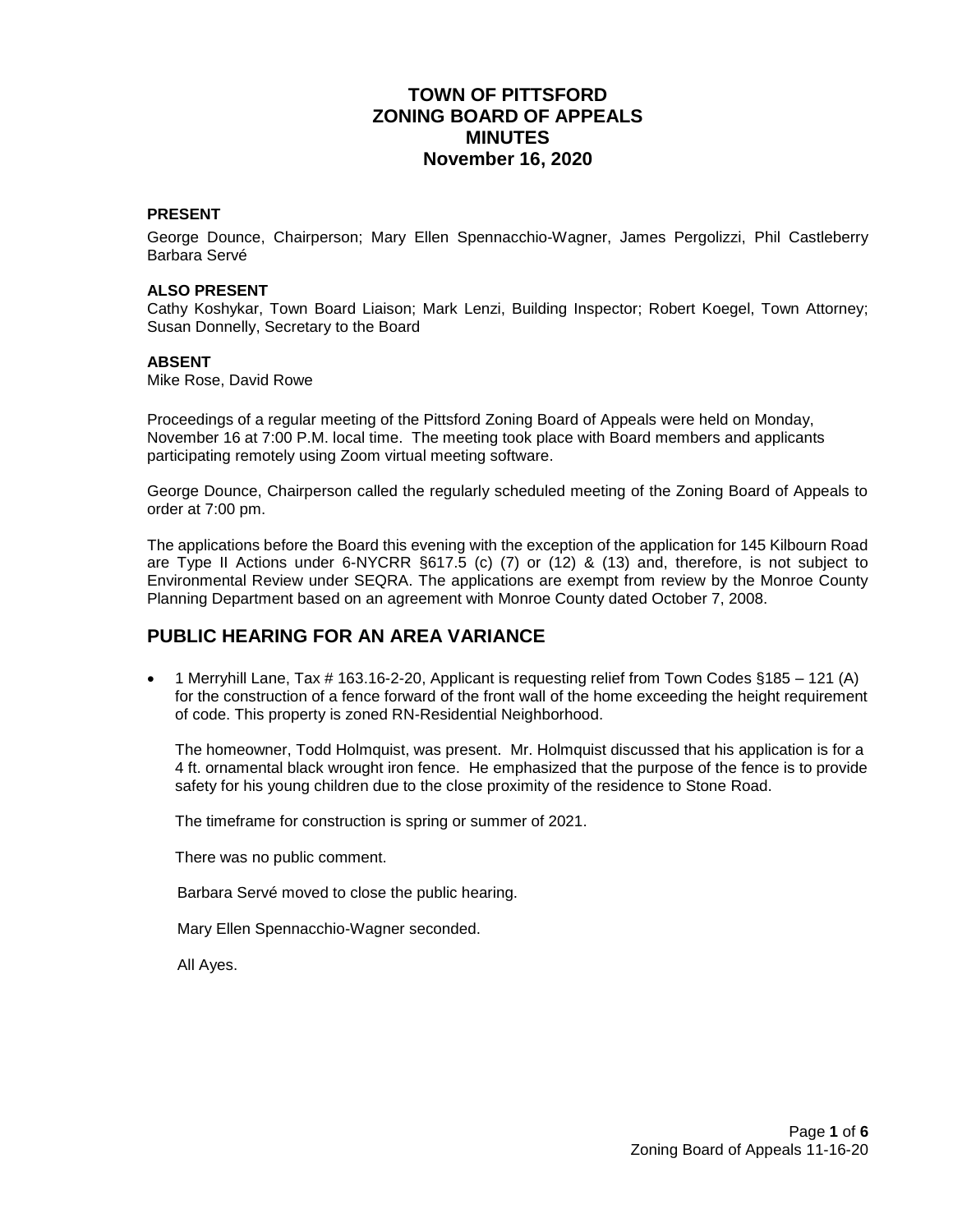# **TOWN OF PITTSFORD ZONING BOARD OF APPEALS MINUTES November 16, 2020**

### **PRESENT**

George Dounce, Chairperson; Mary Ellen Spennacchio-Wagner, James Pergolizzi, Phil Castleberry Barbara Servé

#### **ALSO PRESENT**

Cathy Koshykar, Town Board Liaison; Mark Lenzi, Building Inspector; Robert Koegel, Town Attorney; Susan Donnelly, Secretary to the Board

#### **ABSENT**

Mike Rose, David Rowe

Proceedings of a regular meeting of the Pittsford Zoning Board of Appeals were held on Monday, November 16 at 7:00 P.M. local time. The meeting took place with Board members and applicants participating remotely using Zoom virtual meeting software.

George Dounce, Chairperson called the regularly scheduled meeting of the Zoning Board of Appeals to order at 7:00 pm.

The applications before the Board this evening with the exception of the application for 145 Kilbourn Road are Type II Actions under 6-NYCRR §617.5 (c) (7) or (12) & (13) and, therefore, is not subject to Environmental Review under SEQRA. The applications are exempt from review by the Monroe County Planning Department based on an agreement with Monroe County dated October 7, 2008.

## **PUBLIC HEARING FOR AN AREA VARIANCE**

**•** 1 Merryhill Lane, Tax # 163.16-2-20, Applicant is requesting relief from Town Codes  $§185 - 121$  (A) for the construction of a fence forward of the front wall of the home exceeding the height requirement of code. This property is zoned RN-Residential Neighborhood.

The homeowner, Todd Holmquist, was present. Mr. Holmquist discussed that his application is for a 4 ft. ornamental black wrought iron fence. He emphasized that the purpose of the fence is to provide safety for his young children due to the close proximity of the residence to Stone Road.

The timeframe for construction is spring or summer of 2021.

There was no public comment.

Barbara Servé moved to close the public hearing.

Mary Ellen Spennacchio-Wagner seconded.

All Ayes.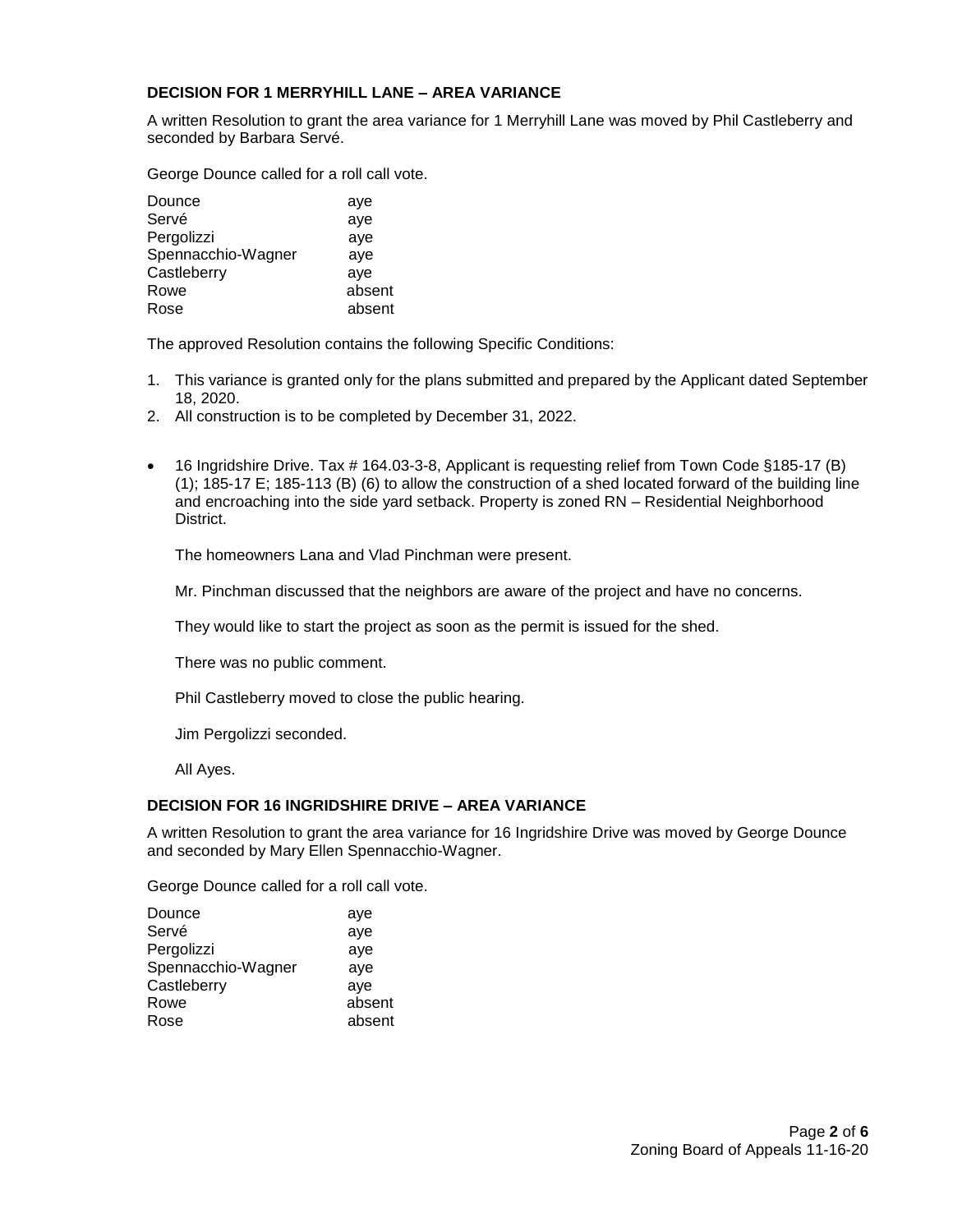### **DECISION FOR 1 MERRYHILL LANE – AREA VARIANCE**

A written Resolution to grant the area variance for 1 Merryhill Lane was moved by Phil Castleberry and seconded by Barbara Servé.

George Dounce called for a roll call vote.

| Dounce             | aye    |
|--------------------|--------|
|                    |        |
| Servé              | aye    |
| Pergolizzi         | aye    |
| Spennacchio-Wagner | aye    |
| Castleberry        | aye    |
| Rowe               | absent |
| Rose               | absent |
|                    |        |

The approved Resolution contains the following Specific Conditions:

- 1. This variance is granted only for the plans submitted and prepared by the Applicant dated September 18, 2020.
- 2. All construction is to be completed by December 31, 2022.
- 16 Ingridshire Drive. Tax # 164.03-3-8, Applicant is requesting relief from Town Code §185-17 (B) (1); 185-17 E; 185-113 (B) (6) to allow the construction of a shed located forward of the building line and encroaching into the side yard setback. Property is zoned RN – Residential Neighborhood District.

The homeowners Lana and Vlad Pinchman were present.

Mr. Pinchman discussed that the neighbors are aware of the project and have no concerns.

They would like to start the project as soon as the permit is issued for the shed.

There was no public comment.

Phil Castleberry moved to close the public hearing.

Jim Pergolizzi seconded.

All Ayes.

### **DECISION FOR 16 INGRIDSHIRE DRIVE – AREA VARIANCE**

A written Resolution to grant the area variance for 16 Ingridshire Drive was moved by George Dounce and seconded by Mary Ellen Spennacchio-Wagner.

George Dounce called for a roll call vote.

| Dounce             | aye    |
|--------------------|--------|
| Servé              | aye    |
| Pergolizzi         | aye    |
| Spennacchio-Wagner | aye    |
| Castleberry        | aye    |
| Rowe               | absent |
| Rose               | absent |
|                    |        |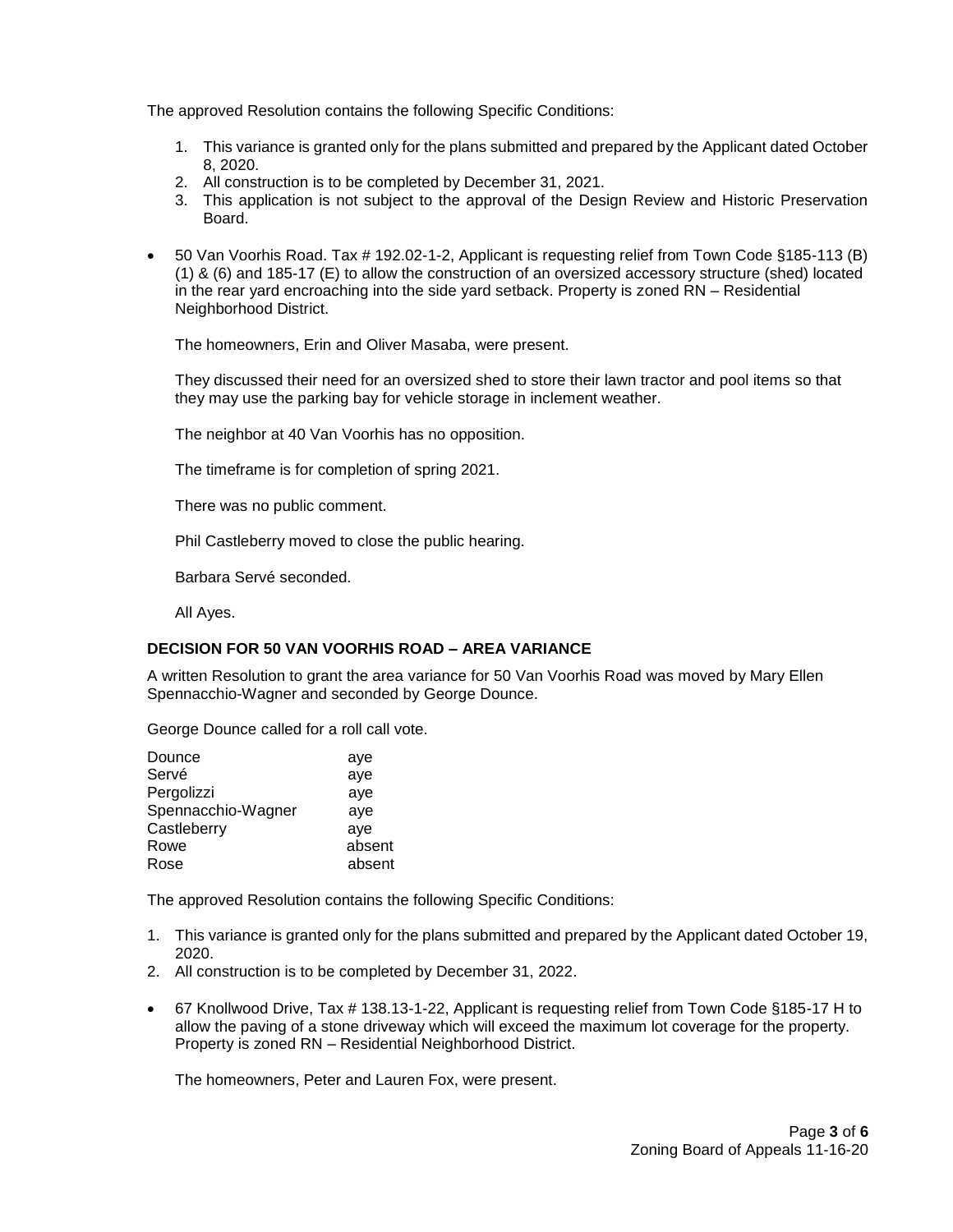The approved Resolution contains the following Specific Conditions:

- 1. This variance is granted only for the plans submitted and prepared by the Applicant dated October 8, 2020.
- 2. All construction is to be completed by December 31, 2021.
- 3. This application is not subject to the approval of the Design Review and Historic Preservation Board.
- 50 Van Voorhis Road. Tax # 192.02-1-2, Applicant is requesting relief from Town Code §185-113 (B) (1) & (6) and 185-17 (E) to allow the construction of an oversized accessory structure (shed) located in the rear yard encroaching into the side yard setback. Property is zoned RN – Residential Neighborhood District.

The homeowners, Erin and Oliver Masaba, were present.

They discussed their need for an oversized shed to store their lawn tractor and pool items so that they may use the parking bay for vehicle storage in inclement weather.

The neighbor at 40 Van Voorhis has no opposition.

The timeframe is for completion of spring 2021.

There was no public comment.

Phil Castleberry moved to close the public hearing.

Barbara Servé seconded.

All Ayes.

#### **DECISION FOR 50 VAN VOORHIS ROAD – AREA VARIANCE**

A written Resolution to grant the area variance for 50 Van Voorhis Road was moved by Mary Ellen Spennacchio-Wagner and seconded by George Dounce.

George Dounce called for a roll call vote.

| Dounce             | aye    |
|--------------------|--------|
| Servé              | aye    |
| Pergolizzi         | aye    |
| Spennacchio-Wagner | aye    |
| Castleberry        | aye    |
| Rowe               | absent |
| Rose               | absent |

The approved Resolution contains the following Specific Conditions:

- 1. This variance is granted only for the plans submitted and prepared by the Applicant dated October 19, 2020.
- 2. All construction is to be completed by December 31, 2022.
- 67 Knollwood Drive, Tax # 138.13-1-22, Applicant is requesting relief from Town Code §185-17 H to allow the paving of a stone driveway which will exceed the maximum lot coverage for the property. Property is zoned RN – Residential Neighborhood District.

The homeowners, Peter and Lauren Fox, were present.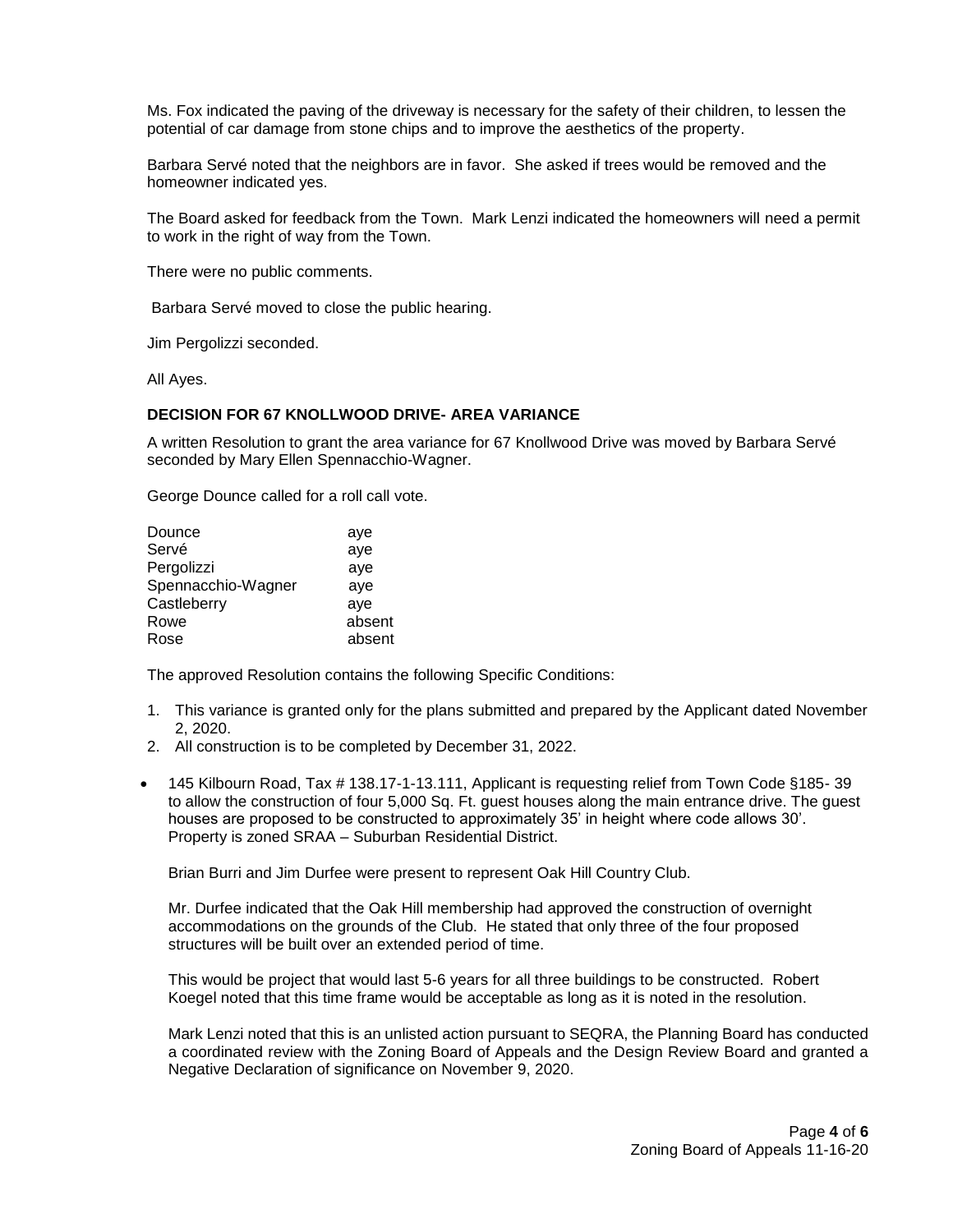Ms. Fox indicated the paving of the driveway is necessary for the safety of their children, to lessen the potential of car damage from stone chips and to improve the aesthetics of the property.

Barbara Servé noted that the neighbors are in favor. She asked if trees would be removed and the homeowner indicated yes.

The Board asked for feedback from the Town. Mark Lenzi indicated the homeowners will need a permit to work in the right of way from the Town.

There were no public comments.

Barbara Servé moved to close the public hearing.

Jim Pergolizzi seconded.

All Ayes.

#### **DECISION FOR 67 KNOLLWOOD DRIVE- AREA VARIANCE**

A written Resolution to grant the area variance for 67 Knollwood Drive was moved by Barbara Servé seconded by Mary Ellen Spennacchio-Wagner.

George Dounce called for a roll call vote.

| Dounce             | aye    |
|--------------------|--------|
| Servé              | aye    |
| Pergolizzi         | aye    |
| Spennacchio-Wagner | aye    |
| Castleberry        | ave    |
| Rowe               | absent |
| Rose               | absent |

The approved Resolution contains the following Specific Conditions:

- 1. This variance is granted only for the plans submitted and prepared by the Applicant dated November 2, 2020.
- 2. All construction is to be completed by December 31, 2022.
- 145 Kilbourn Road, Tax # 138.17-1-13.111, Applicant is requesting relief from Town Code §185- 39 to allow the construction of four 5,000 Sq. Ft. guest houses along the main entrance drive. The guest houses are proposed to be constructed to approximately 35' in height where code allows 30'. Property is zoned SRAA – Suburban Residential District.

Brian Burri and Jim Durfee were present to represent Oak Hill Country Club.

Mr. Durfee indicated that the Oak Hill membership had approved the construction of overnight accommodations on the grounds of the Club. He stated that only three of the four proposed structures will be built over an extended period of time.

This would be project that would last 5-6 years for all three buildings to be constructed. Robert Koegel noted that this time frame would be acceptable as long as it is noted in the resolution.

Mark Lenzi noted that this is an unlisted action pursuant to SEQRA, the Planning Board has conducted a coordinated review with the Zoning Board of Appeals and the Design Review Board and granted a Negative Declaration of significance on November 9, 2020.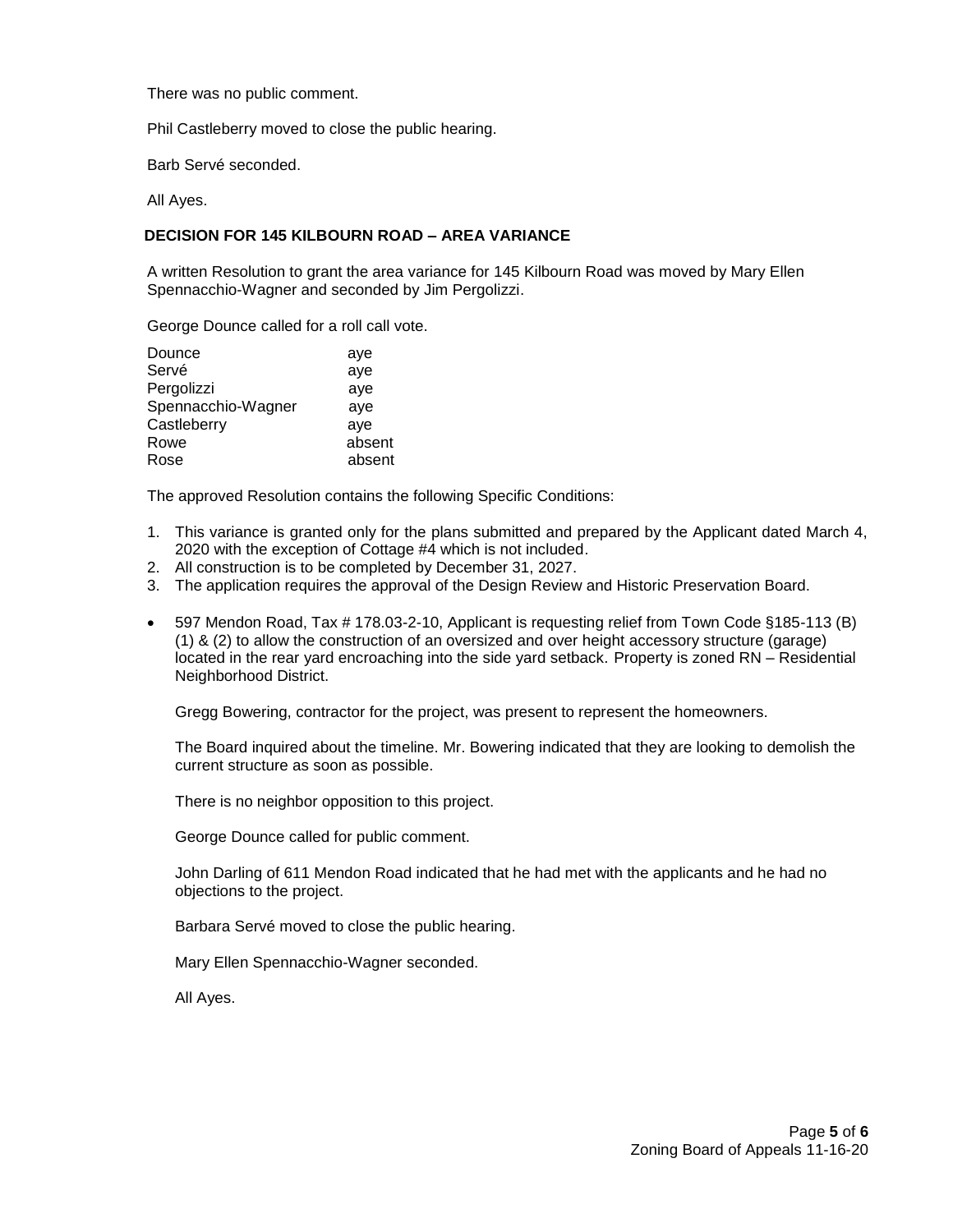There was no public comment.

Phil Castleberry moved to close the public hearing.

Barb Servé seconded.

All Ayes.

### **DECISION FOR 145 KILBOURN ROAD – AREA VARIANCE**

A written Resolution to grant the area variance for 145 Kilbourn Road was moved by Mary Ellen Spennacchio-Wagner and seconded by Jim Pergolizzi.

George Dounce called for a roll call vote.

| Dounce             | aye    |
|--------------------|--------|
| Servé              | aye    |
| Pergolizzi         | aye    |
| Spennacchio-Wagner | aye    |
| Castleberry        | ave    |
| Rowe               | absent |
| Rose               | absent |

The approved Resolution contains the following Specific Conditions:

- 1. This variance is granted only for the plans submitted and prepared by the Applicant dated March 4, 2020 with the exception of Cottage #4 which is not included.
- 2. All construction is to be completed by December 31, 2027.
- 3. The application requires the approval of the Design Review and Historic Preservation Board.
- 597 Mendon Road, Tax # 178.03-2-10, Applicant is requesting relief from Town Code §185-113 (B) (1) & (2) to allow the construction of an oversized and over height accessory structure (garage) located in the rear yard encroaching into the side yard setback. Property is zoned RN – Residential Neighborhood District.

Gregg Bowering, contractor for the project, was present to represent the homeowners.

The Board inquired about the timeline. Mr. Bowering indicated that they are looking to demolish the current structure as soon as possible.

There is no neighbor opposition to this project.

George Dounce called for public comment.

John Darling of 611 Mendon Road indicated that he had met with the applicants and he had no objections to the project.

Barbara Servé moved to close the public hearing.

Mary Ellen Spennacchio-Wagner seconded.

All Ayes.